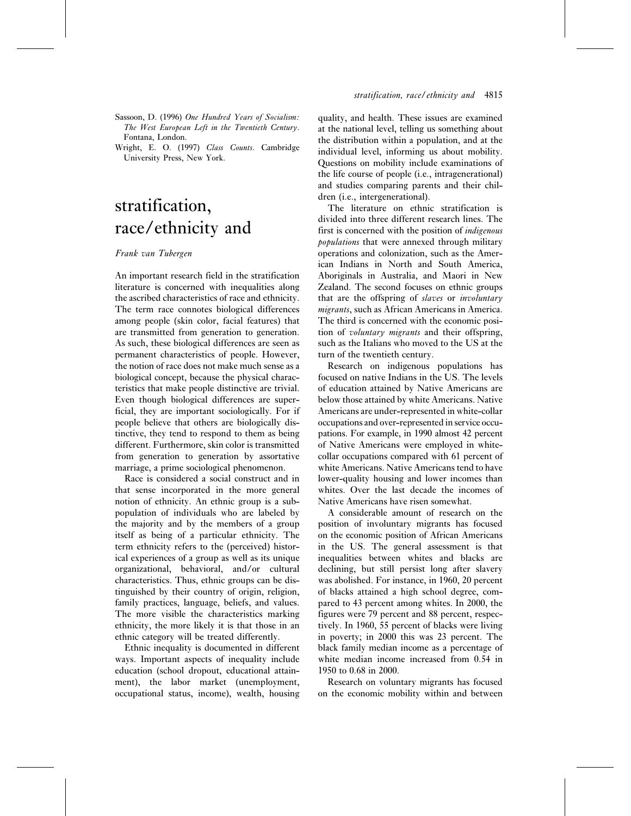- Sassoon, D. (1996) One Hundred Years of Socialism: The West European Left in the Twentieth Century. Fontana, London.
- Wright, E. O. (1997) Class Counts. Cambridge University Press, New York.

# stratification, race/ethnicity and

Frank van Tubergen

An important research field in the stratification literature is concerned with inequalities along the ascribed characteristics of race and ethnicity. The term race connotes biological differences among people (skin color, facial features) that are transmitted from generation to generation. As such, these biological differences are seen as permanent characteristics of people. However, the notion of race does not make much sense as a biological concept, because the physical characteristics that make people distinctive are trivial. Even though biological differences are superficial, they are important sociologically. For if people believe that others are biologically distinctive, they tend to respond to them as being different. Furthermore, skin color is transmitted from generation to generation by assortative marriage, a prime sociological phenomenon.

Race is considered a social construct and in that sense incorporated in the more general notion of ethnicity. An ethnic group is a subpopulation of individuals who are labeled by the majority and by the members of a group itself as being of a particular ethnicity. The term ethnicity refers to the (perceived) historical experiences of a group as well as its unique organizational, behavioral, and/or cultural characteristics. Thus, ethnic groups can be distinguished by their country of origin, religion, family practices, language, beliefs, and values. The more visible the characteristics marking ethnicity, the more likely it is that those in an ethnic category will be treated differently.

Ethnic inequality is documented in different ways. Important aspects of inequality include education (school dropout, educational attainment), the labor market (unemployment, occupational status, income), wealth, housing quality, and health. These issues are examined at the national level, telling us something about the distribution within a population, and at the individual level, informing us about mobility. Questions on mobility include examinations of the life course of people (i.e., intragenerational) and studies comparing parents and their children (i.e., intergenerational).

The literature on ethnic stratification is divided into three different research lines. The first is concerned with the position of indigenous populations that were annexed through military operations and colonization, such as the American Indians in North and South America, Aboriginals in Australia, and Maori in New Zealand. The second focuses on ethnic groups that are the offspring of slaves or involuntary migrants, such as African Americans in America. The third is concerned with the economic position of voluntary migrants and their offspring, such as the Italians who moved to the US at the turn of the twentieth century.

Research on indigenous populations has focused on native Indians in the US. The levels of education attained by Native Americans are below those attained by white Americans. Native Americans are under-represented in white-collar occupations and over-represented in service occupations. For example, in 1990 almost 42 percent of Native Americans were employed in whitecollar occupations compared with 61 percent of white Americans. Native Americans tend to have lower-quality housing and lower incomes than whites. Over the last decade the incomes of Native Americans have risen somewhat.

A considerable amount of research on the position of involuntary migrants has focused on the economic position of African Americans in the US. The general assessment is that inequalities between whites and blacks are declining, but still persist long after slavery was abolished. For instance, in 1960, 20 percent of blacks attained a high school degree, compared to 43 percent among whites. In 2000, the figures were 79 percent and 88 percent, respectively. In 1960, 55 percent of blacks were living in poverty; in 2000 this was 23 percent. The black family median income as a percentage of white median income increased from 0.54 in 1950 to 0.68 in 2000.

Research on voluntary migrants has focused on the economic mobility within and between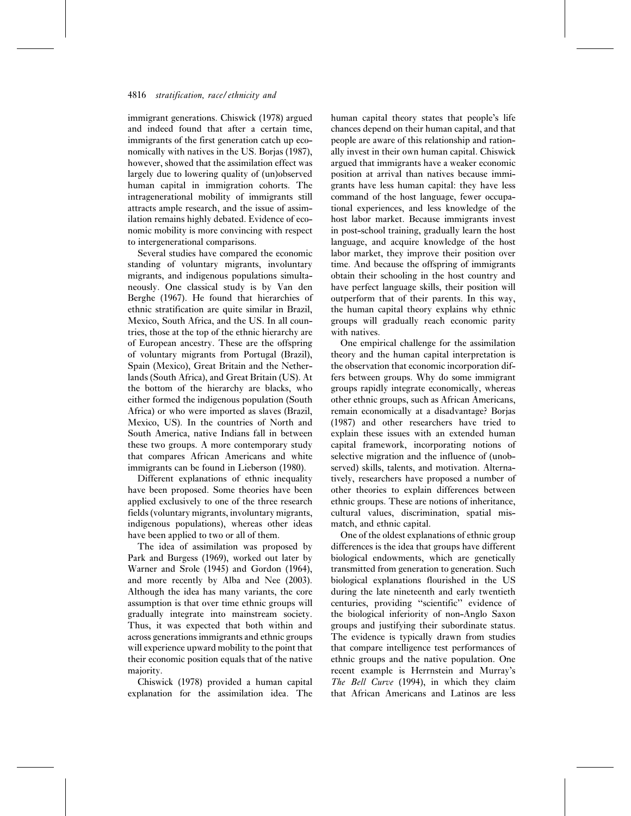#### 4816 stratification, race/ethnicity and

immigrant generations. Chiswick (1978) argued and indeed found that after a certain time, immigrants of the first generation catch up economically with natives in the US. Borjas (1987), however, showed that the assimilation effect was largely due to lowering quality of (un)observed human capital in immigration cohorts. The intragenerational mobility of immigrants still attracts ample research, and the issue of assimilation remains highly debated. Evidence of economic mobility is more convincing with respect to intergenerational comparisons.

Several studies have compared the economic standing of voluntary migrants, involuntary migrants, and indigenous populations simultaneously. One classical study is by Van den Berghe (1967). He found that hierarchies of ethnic stratification are quite similar in Brazil, Mexico, South Africa, and the US. In all countries, those at the top of the ethnic hierarchy are of European ancestry. These are the offspring of voluntary migrants from Portugal (Brazil), Spain (Mexico), Great Britain and the Netherlands (South Africa), and Great Britain (US). At the bottom of the hierarchy are blacks, who either formed the indigenous population (South Africa) or who were imported as slaves (Brazil, Mexico, US). In the countries of North and South America, native Indians fall in between these two groups. A more contemporary study that compares African Americans and white immigrants can be found in Lieberson (1980).

Different explanations of ethnic inequality have been proposed. Some theories have been applied exclusively to one of the three research fields (voluntary migrants, involuntary migrants, indigenous populations), whereas other ideas have been applied to two or all of them.

The idea of assimilation was proposed by Park and Burgess (1969), worked out later by Warner and Srole (1945) and Gordon (1964), and more recently by Alba and Nee (2003). Although the idea has many variants, the core assumption is that over time ethnic groups will gradually integrate into mainstream society. Thus, it was expected that both within and across generations immigrants and ethnic groups will experience upward mobility to the point that their economic position equals that of the native majority.

Chiswick (1978) provided a human capital explanation for the assimilation idea. The human capital theory states that people's life chances depend on their human capital, and that people are aware of this relationship and rationally invest in their own human capital. Chiswick argued that immigrants have a weaker economic position at arrival than natives because immigrants have less human capital: they have less command of the host language, fewer occupational experiences, and less knowledge of the host labor market. Because immigrants invest in post-school training, gradually learn the host language, and acquire knowledge of the host labor market, they improve their position over time. And because the offspring of immigrants obtain their schooling in the host country and have perfect language skills, their position will outperform that of their parents. In this way, the human capital theory explains why ethnic groups will gradually reach economic parity with natives.

One empirical challenge for the assimilation theory and the human capital interpretation is the observation that economic incorporation differs between groups. Why do some immigrant groups rapidly integrate economically, whereas other ethnic groups, such as African Americans, remain economically at a disadvantage? Borjas (1987) and other researchers have tried to explain these issues with an extended human capital framework, incorporating notions of selective migration and the influence of (unobserved) skills, talents, and motivation. Alternatively, researchers have proposed a number of other theories to explain differences between ethnic groups. These are notions of inheritance, cultural values, discrimination, spatial mismatch, and ethnic capital.

One of the oldest explanations of ethnic group differences is the idea that groups have different biological endowments, which are genetically transmitted from generation to generation. Such biological explanations flourished in the US during the late nineteenth and early twentieth centuries, providing ''scientific'' evidence of the biological inferiority of non-Anglo Saxon groups and justifying their subordinate status. The evidence is typically drawn from studies that compare intelligence test performances of ethnic groups and the native population. One recent example is Herrnstein and Murray's The Bell Curve (1994), in which they claim that African Americans and Latinos are less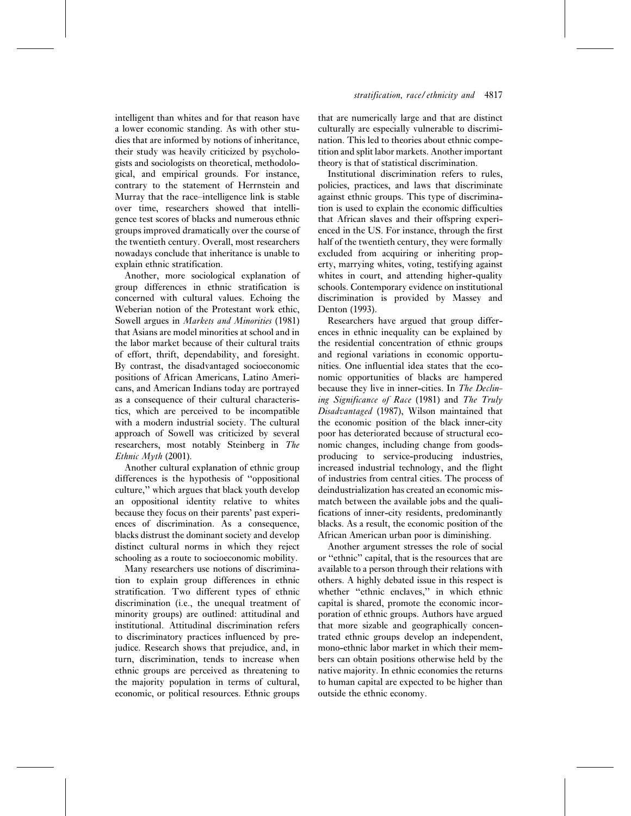intelligent than whites and for that reason have a lower economic standing. As with other studies that are informed by notions of inheritance, their study was heavily criticized by psychologists and sociologists on theoretical, methodological, and empirical grounds. For instance, contrary to the statement of Herrnstein and Murray that the race–intelligence link is stable over time, researchers showed that intelligence test scores of blacks and numerous ethnic groups improved dramatically over the course of the twentieth century. Overall, most researchers nowadays conclude that inheritance is unable to explain ethnic stratification.

Another, more sociological explanation of group differences in ethnic stratification is concerned with cultural values. Echoing the Weberian notion of the Protestant work ethic, Sowell argues in Markets and Minorities (1981) that Asians are model minorities at school and in the labor market because of their cultural traits of effort, thrift, dependability, and foresight. By contrast, the disadvantaged socioeconomic positions of African Americans, Latino Americans, and American Indians today are portrayed as a consequence of their cultural characteristics, which are perceived to be incompatible with a modern industrial society. The cultural approach of Sowell was criticized by several researchers, most notably Steinberg in The Ethnic Myth  $(2001)$ .

Another cultural explanation of ethnic group differences is the hypothesis of ''oppositional culture,'' which argues that black youth develop an oppositional identity relative to whites because they focus on their parents' past experiences of discrimination. As a consequence, blacks distrust the dominant society and develop distinct cultural norms in which they reject schooling as a route to socioeconomic mobility.

Many researchers use notions of discrimination to explain group differences in ethnic stratification. Two different types of ethnic discrimination (i.e., the unequal treatment of minority groups) are outlined: attitudinal and institutional. Attitudinal discrimination refers to discriminatory practices influenced by prejudice. Research shows that prejudice, and, in turn, discrimination, tends to increase when ethnic groups are perceived as threatening to the majority population in terms of cultural, economic, or political resources. Ethnic groups that are numerically large and that are distinct culturally are especially vulnerable to discrimination. This led to theories about ethnic competition and split labor markets. Another important theory is that of statistical discrimination.

Institutional discrimination refers to rules, policies, practices, and laws that discriminate against ethnic groups. This type of discrimination is used to explain the economic difficulties that African slaves and their offspring experienced in the US. For instance, through the first half of the twentieth century, they were formally excluded from acquiring or inheriting property, marrying whites, voting, testifying against whites in court, and attending higher-quality schools. Contemporary evidence on institutional discrimination is provided by Massey and Denton (1993).

Researchers have argued that group differences in ethnic inequality can be explained by the residential concentration of ethnic groups and regional variations in economic opportunities. One influential idea states that the economic opportunities of blacks are hampered because they live in inner-cities. In The Declining Significance of Race (1981) and The Truly Disadvantaged (1987), Wilson maintained that the economic position of the black inner-city poor has deteriorated because of structural economic changes, including change from goodsproducing to service-producing industries, increased industrial technology, and the flight of industries from central cities. The process of deindustrialization has created an economic mismatch between the available jobs and the qualifications of inner-city residents, predominantly blacks. As a result, the economic position of the African American urban poor is diminishing.

Another argument stresses the role of social or ''ethnic'' capital, that is the resources that are available to a person through their relations with others. A highly debated issue in this respect is whether ''ethnic enclaves,'' in which ethnic capital is shared, promote the economic incorporation of ethnic groups. Authors have argued that more sizable and geographically concentrated ethnic groups develop an independent, mono-ethnic labor market in which their members can obtain positions otherwise held by the native majority. In ethnic economies the returns to human capital are expected to be higher than outside the ethnic economy.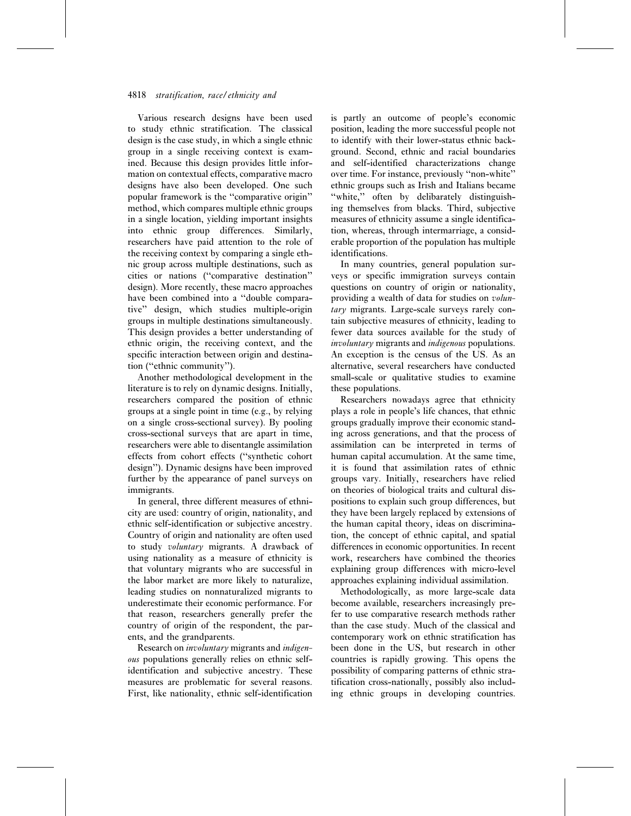### 4818 stratification, race/ethnicity and

Various research designs have been used to study ethnic stratification. The classical design is the case study, in which a single ethnic group in a single receiving context is examined. Because this design provides little information on contextual effects, comparative macro designs have also been developed. One such popular framework is the ''comparative origin'' method, which compares multiple ethnic groups in a single location, yielding important insights into ethnic group differences. Similarly, researchers have paid attention to the role of the receiving context by comparing a single ethnic group across multiple destinations, such as cities or nations (''comparative destination'' design). More recently, these macro approaches have been combined into a ''double comparative'' design, which studies multiple-origin groups in multiple destinations simultaneously. This design provides a better understanding of ethnic origin, the receiving context, and the specific interaction between origin and destination (''ethnic community'').

Another methodological development in the literature is to rely on dynamic designs. Initially, researchers compared the position of ethnic groups at a single point in time (e.g., by relying on a single cross-sectional survey). By pooling cross-sectional surveys that are apart in time, researchers were able to disentangle assimilation effects from cohort effects (''synthetic cohort design''). Dynamic designs have been improved further by the appearance of panel surveys on immigrants.

In general, three different measures of ethnicity are used: country of origin, nationality, and ethnic self-identification or subjective ancestry. Country of origin and nationality are often used to study voluntary migrants. A drawback of using nationality as a measure of ethnicity is that voluntary migrants who are successful in the labor market are more likely to naturalize, leading studies on nonnaturalized migrants to underestimate their economic performance. For that reason, researchers generally prefer the country of origin of the respondent, the parents, and the grandparents.

Research on *involuntary* migrants and *indigen*ous populations generally relies on ethnic selfidentification and subjective ancestry. These measures are problematic for several reasons. First, like nationality, ethnic self-identification is partly an outcome of people's economic position, leading the more successful people not to identify with their lower-status ethnic background. Second, ethnic and racial boundaries and self-identified characterizations change over time. For instance, previously ''non-white'' ethnic groups such as Irish and Italians became "white," often by delibarately distinguishing themselves from blacks. Third, subjective measures of ethnicity assume a single identification, whereas, through intermarriage, a considerable proportion of the population has multiple identifications.

In many countries, general population surveys or specific immigration surveys contain questions on country of origin or nationality, providing a wealth of data for studies on *volun*tary migrants. Large-scale surveys rarely contain subjective measures of ethnicity, leading to fewer data sources available for the study of involuntary migrants and indigenous populations. An exception is the census of the US. As an alternative, several researchers have conducted small-scale or qualitative studies to examine these populations.

Researchers nowadays agree that ethnicity plays a role in people's life chances, that ethnic groups gradually improve their economic standing across generations, and that the process of assimilation can be interpreted in terms of human capital accumulation. At the same time, it is found that assimilation rates of ethnic groups vary. Initially, researchers have relied on theories of biological traits and cultural dispositions to explain such group differences, but they have been largely replaced by extensions of the human capital theory, ideas on discrimination, the concept of ethnic capital, and spatial differences in economic opportunities. In recent work, researchers have combined the theories explaining group differences with micro-level approaches explaining individual assimilation.

Methodologically, as more large-scale data become available, researchers increasingly prefer to use comparative research methods rather than the case study. Much of the classical and contemporary work on ethnic stratification has been done in the US, but research in other countries is rapidly growing. This opens the possibility of comparing patterns of ethnic stratification cross-nationally, possibly also including ethnic groups in developing countries.